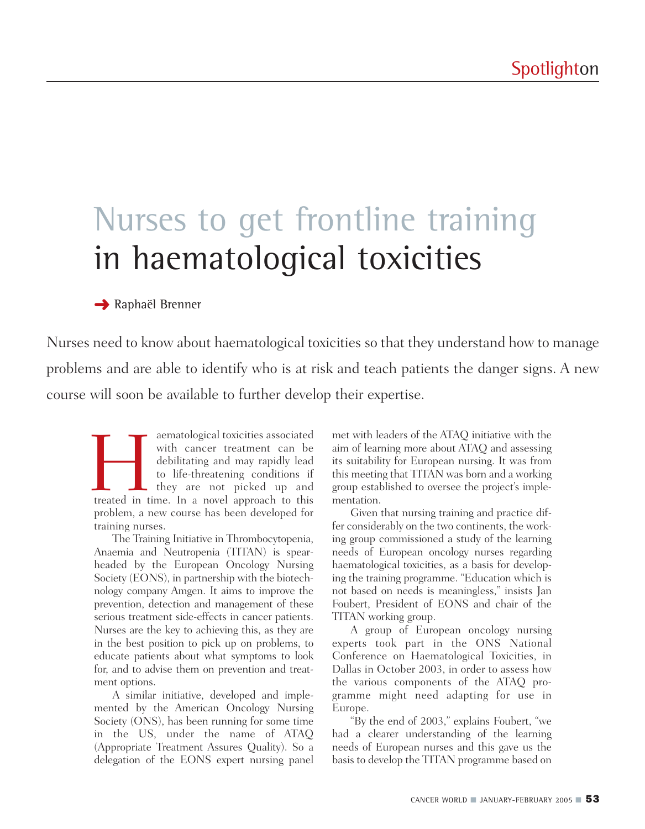# Nurses to get frontline training in haematological toxicities

## **→ Raphaël Brenner**

Nurses need to know about haematological toxicities so that they understand how to manage problems and are able to identify who is at risk and teach patients the danger signs. A new course will soon be available to further develop their expertise.

aematological toxicities associated<br>
with cancer treatment can be<br>
debilitating and may rapidly lead<br>
to life-threatening conditions if<br>
they are not picked up and<br>
treated in time. In a novel approach to this with cancer treatment can be debilitating and may rapidly lead to life-threatening conditions if hey are not picked up and problem, a new course has been developed for training nurses.

The Training Initiative in Thrombocytopenia, Anaemia and Neutropenia (TITAN) is spearheaded by the European Oncology Nursing Society (EONS), in partnership with the biotechnology company Amgen. It aims to improve the prevention, detection and management of these serious treatment side-effects in cancer patients. Nurses are the key to achieving this, as they are in the best position to pick up on problems, to educate patients about what symptoms to look for, and to advise them on prevention and treatment options.

A similar initiative, developed and implemented by the American Oncology Nursing Society (ONS), has been running for some time in the US, under the name of ATAQ (Appropriate Treatment Assures Quality). So a delegation of the EONS expert nursing panel

met with leaders of the ATAQ initiative with the aim of learning more about ATAQ and assessing its suitability for European nursing. It was from this meeting that TITAN was born and a working group established to oversee the project's implementation.

Given that nursing training and practice differ considerably on the two continents, the working group commissioned a study of the learning needs of European oncology nurses regarding haematological toxicities, as a basis for developing the training programme. "Education which is not based on needs is meaningless," insists Jan Foubert, President of EONS and chair of the TITAN working group.

A group of European oncology nursing experts took part in the ONS National Conference on Haematological Toxicities, in Dallas in October 2003, in order to assess how the various components of the ATAQ programme might need adapting for use in Europe.

"By the end of 2003," explains Foubert, "we had a clearer understanding of the learning needs of European nurses and this gave us the basis to develop the TITAN programme based on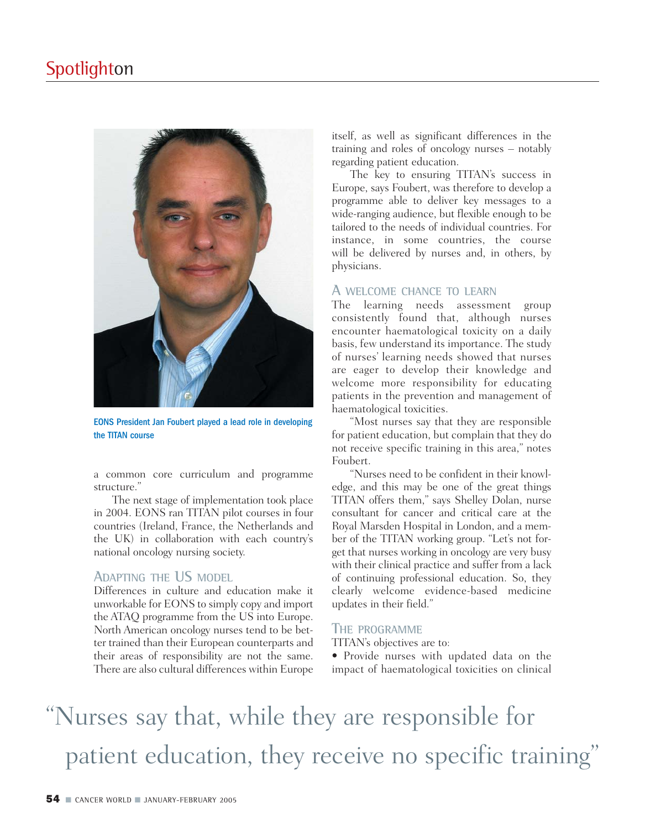

EONS President Jan Foubert played a lead role in developing the TITAN course

a common core curriculum and programme structure."

The next stage of implementation took place in 2004. EONS ran TITAN pilot courses in four countries (Ireland, France, the Netherlands and the UK) in collaboration with each country's national oncology nursing society.

### **ADAPTING THE US MODEL**

Differences in culture and education make it unworkable for EONS to simply copy and import the ATAQ programme from the US into Europe. North American oncology nurses tend to be better trained than their European counterparts and their areas of responsibility are not the same. There are also cultural differences within Europe itself, as well as significant differences in the training and roles of oncology nurses – notably regarding patient education.

The key to ensuring TITAN's success in Europe, says Foubert, was therefore to develop a programme able to deliver key messages to a wide-ranging audience, but flexible enough to be tailored to the needs of individual countries. For instance, in some countries, the course will be delivered by nurses and, in others, by physicians.

### **A WELCOME CHANCE TO LEARN**

The learning needs assessment group consistently found that, although nurses encounter haematological toxicity on a daily basis, few understand its importance. The study of nurses' learning needs showed that nurses are eager to develop their knowledge and welcome more responsibility for educating patients in the prevention and management of haematological toxicities.

"Most nurses say that they are responsible for patient education, but complain that they do not receive specific training in this area," notes Foubert.

"Nurses need to be confident in their knowledge, and this may be one of the great things TITAN offers them," says Shelley Dolan, nurse consultant for cancer and critical care at the Royal Marsden Hospital in London, and a member of the TITAN working group. "Let's not forget that nurses working in oncology are very busy with their clinical practice and suffer from a lack of continuing professional education. So, they clearly welcome evidence-based medicine updates in their field."

#### **THE PROGRAMME**

TITAN's objectives are to:

• Provide nurses with updated data on the impact of haematological toxicities on clinical

# "Nurses say that, while they are responsible for patient education, they receive no specific training"